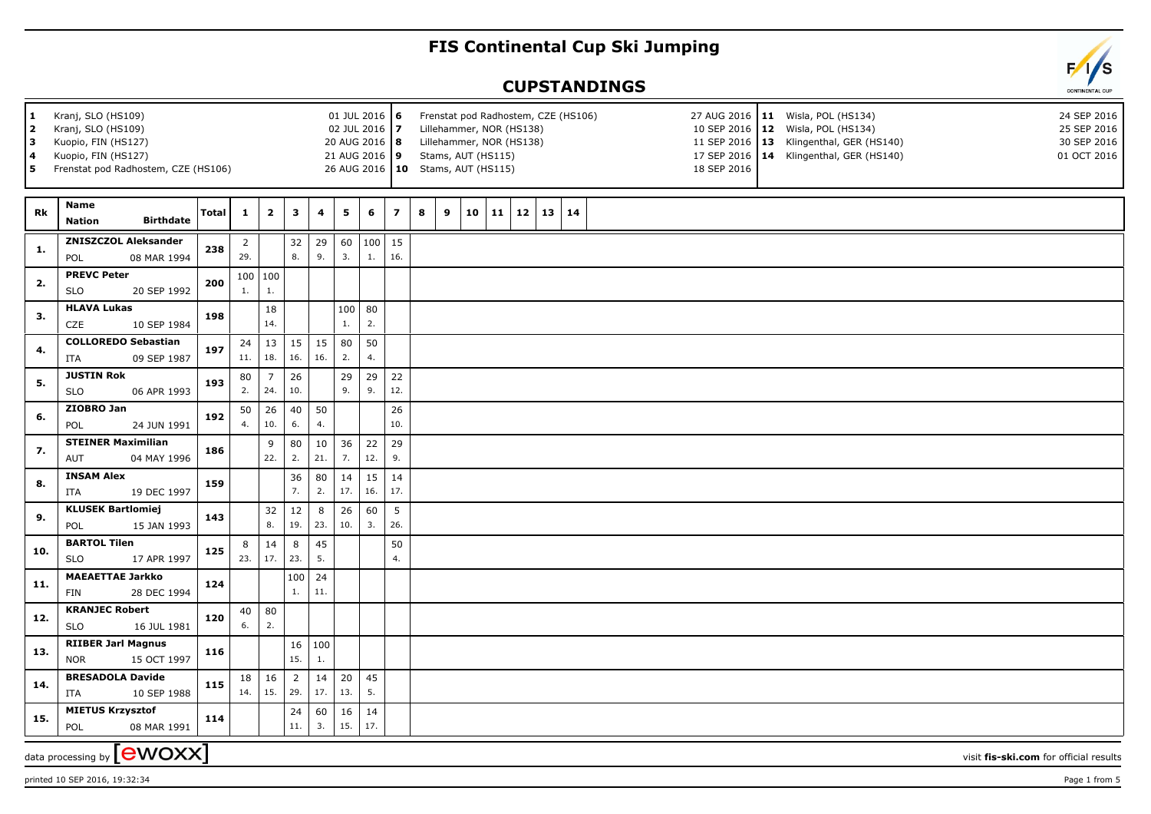## **FIS Continental Cup Ski Jumping**

## **CUPSTANDINGS**

| 1<br>2<br>3<br>4<br>5 | Kranj, SLO (HS109)<br>Kranj, SLO (HS109)<br>Kuopio, FIN (HS127)<br>Kuopio, FIN (HS127)<br>Frenstat pod Radhostem, CZE (HS106) |              |                       |                 |                       |                       | 01 JUL 2016 6<br>02 JUL 2016 7<br>20 AUG 2016   8<br>21 AUG 2016 9 |                |                          |   | Frenstat pod Radhostem, CZE (HS106)<br>27 AUG 2016   11 Wisla, POL (HS134)<br>24 SEP 2016<br>Lillehammer, NOR (HS138)<br>10 SEP 2016 12 Wisla, POL (HS134)<br>25 SEP 2016<br>Lillehammer, NOR (HS138)<br>11 SEP 2016   13 Klingenthal, GER (HS140)<br>30 SEP 2016<br>17 SEP 2016   14 Klingenthal, GER (HS140)<br>Stams, AUT (HS115)<br>01 OCT 2016<br>26 AUG 2016   10 Stams, AUT (HS115)<br>18 SEP 2016 |    |    |              |  |    |  |  |  |  |  |                                        |  |
|-----------------------|-------------------------------------------------------------------------------------------------------------------------------|--------------|-----------------------|-----------------|-----------------------|-----------------------|--------------------------------------------------------------------|----------------|--------------------------|---|-----------------------------------------------------------------------------------------------------------------------------------------------------------------------------------------------------------------------------------------------------------------------------------------------------------------------------------------------------------------------------------------------------------|----|----|--------------|--|----|--|--|--|--|--|----------------------------------------|--|
| Rk                    | <b>Name</b><br><b>Birthdate</b><br><b>Nation</b>                                                                              | <b>Total</b> | 1                     | $\mathbf{2}$    | 3                     | 4                     | 5                                                                  | 6              | $\overline{\phantom{a}}$ | 8 | 9                                                                                                                                                                                                                                                                                                                                                                                                         | 10 | 11 | $12 \mid 13$ |  | 14 |  |  |  |  |  |                                        |  |
| 1.                    | <b>ZNISZCZOL Aleksander</b><br>08 MAR 1994<br>POL                                                                             | 238          | $\overline{2}$<br>29. |                 | 32<br>8.              | 29<br>9.              | 60<br>3.                                                           | 100<br>1.      | 15<br>16.                |   |                                                                                                                                                                                                                                                                                                                                                                                                           |    |    |              |  |    |  |  |  |  |  |                                        |  |
| 2.                    | <b>PREVC Peter</b><br>20 SEP 1992<br><b>SLO</b>                                                                               | 200          | 1.                    | 100   100<br>1. |                       |                       |                                                                    |                |                          |   |                                                                                                                                                                                                                                                                                                                                                                                                           |    |    |              |  |    |  |  |  |  |  |                                        |  |
| 3.                    | <b>HLAVA Lukas</b><br>CZE<br>10 SEP 1984                                                                                      | 198          |                       | 18<br>14.       |                       |                       | 1.                                                                 | $100$ 80<br>2. |                          |   |                                                                                                                                                                                                                                                                                                                                                                                                           |    |    |              |  |    |  |  |  |  |  |                                        |  |
| 4.                    | <b>COLLOREDO Sebastian</b><br>ITA<br>09 SEP 1987                                                                              | 197          | 24<br>11.             | 13<br>18.       | 15<br>16.             | 15<br>16.             | 80<br>2.                                                           | 50<br>4.       |                          |   |                                                                                                                                                                                                                                                                                                                                                                                                           |    |    |              |  |    |  |  |  |  |  |                                        |  |
|                       | <b>JUSTIN Rok</b>                                                                                                             |              | 80                    | $\overline{7}$  | 26                    |                       | 29                                                                 | 29             | 22                       |   |                                                                                                                                                                                                                                                                                                                                                                                                           |    |    |              |  |    |  |  |  |  |  |                                        |  |
| 5.                    | <b>SLO</b><br>06 APR 1993                                                                                                     | 193          | 2.                    | 24.             | 10.                   |                       | 9.                                                                 | 9.             | 12.                      |   |                                                                                                                                                                                                                                                                                                                                                                                                           |    |    |              |  |    |  |  |  |  |  |                                        |  |
| 6.                    | ZIOBRO Jan                                                                                                                    | 192          | 50                    | 26              | 40                    | 50                    |                                                                    |                | 26                       |   |                                                                                                                                                                                                                                                                                                                                                                                                           |    |    |              |  |    |  |  |  |  |  |                                        |  |
|                       | POL<br>24 JUN 1991                                                                                                            |              | 4.                    | 10.             | 6.                    | 4.                    |                                                                    |                | 10.                      |   |                                                                                                                                                                                                                                                                                                                                                                                                           |    |    |              |  |    |  |  |  |  |  |                                        |  |
| 7.                    | <b>STEINER Maximilian</b><br>AUT<br>04 MAY 1996                                                                               | 186          |                       | 9<br>22.        | 80<br>2.              | 10<br>21.             | 36<br>7.                                                           | 22<br>12.      | 29<br>9.                 |   |                                                                                                                                                                                                                                                                                                                                                                                                           |    |    |              |  |    |  |  |  |  |  |                                        |  |
| 8.                    | <b>INSAM Alex</b><br>ITA<br>19 DEC 1997                                                                                       | 159          |                       |                 | 36<br>7.              | 80<br>2.              | 14<br>17.                                                          | 15<br>16.      | 14<br>17.                |   |                                                                                                                                                                                                                                                                                                                                                                                                           |    |    |              |  |    |  |  |  |  |  |                                        |  |
|                       | <b>KLUSEK Bartlomiej</b>                                                                                                      |              |                       | 32              | $12\,$                | 8                     | 26                                                                 | 60             | $5\phantom{.0}$          |   |                                                                                                                                                                                                                                                                                                                                                                                                           |    |    |              |  |    |  |  |  |  |  |                                        |  |
| 9.                    | POL<br>15 JAN 1993                                                                                                            | 143          |                       | 8.              | 19.                   | 23.                   | 10.                                                                | 3.             | 26.                      |   |                                                                                                                                                                                                                                                                                                                                                                                                           |    |    |              |  |    |  |  |  |  |  |                                        |  |
| 10.                   | <b>BARTOL Tilen</b>                                                                                                           | 125          | 8                     | 14              | 8                     | 45                    |                                                                    |                | 50                       |   |                                                                                                                                                                                                                                                                                                                                                                                                           |    |    |              |  |    |  |  |  |  |  |                                        |  |
|                       | <b>SLO</b><br>17 APR 1997                                                                                                     |              | 23.                   | 17.             | 23.                   | 5.                    |                                                                    |                | 4.                       |   |                                                                                                                                                                                                                                                                                                                                                                                                           |    |    |              |  |    |  |  |  |  |  |                                        |  |
| 11.                   | <b>MAEAETTAE Jarkko</b><br>FIN<br>28 DEC 1994                                                                                 | 124          |                       |                 | 100<br>1.             | 24<br>11.             |                                                                    |                |                          |   |                                                                                                                                                                                                                                                                                                                                                                                                           |    |    |              |  |    |  |  |  |  |  |                                        |  |
| 12.                   | <b>KRANJEC Robert</b><br><b>SLO</b><br>16 JUL 1981                                                                            | 120          | 40<br>6.              | 80<br>2.        |                       |                       |                                                                    |                |                          |   |                                                                                                                                                                                                                                                                                                                                                                                                           |    |    |              |  |    |  |  |  |  |  |                                        |  |
| 13.                   | <b>RIIBER Jarl Magnus</b><br>15 OCT 1997<br><b>NOR</b>                                                                        | 116          |                       |                 | 16<br>15.             | 100<br>$\mathbf{1}$ . |                                                                    |                |                          |   |                                                                                                                                                                                                                                                                                                                                                                                                           |    |    |              |  |    |  |  |  |  |  |                                        |  |
| 14.                   | <b>BRESADOLA Davide</b><br>10 SEP 1988<br>ITA                                                                                 | 115          | 18<br>14.             | 16<br>15.       | $\overline{2}$<br>29. | 14<br>17.             | 20<br>13.                                                          | 45<br>5.       |                          |   |                                                                                                                                                                                                                                                                                                                                                                                                           |    |    |              |  |    |  |  |  |  |  |                                        |  |
|                       | <b>MIETUS Krzysztof</b>                                                                                                       |              |                       |                 | 24                    | 60                    | 16                                                                 | 14             |                          |   |                                                                                                                                                                                                                                                                                                                                                                                                           |    |    |              |  |    |  |  |  |  |  |                                        |  |
| 15.                   | 08 MAR 1991<br>POL                                                                                                            | 114          |                       |                 | 11.                   | 3.                    | 15.                                                                | 17.            |                          |   |                                                                                                                                                                                                                                                                                                                                                                                                           |    |    |              |  |    |  |  |  |  |  |                                        |  |
|                       | data processing by $[ewoxx]$                                                                                                  |              |                       |                 |                       |                       |                                                                    |                |                          |   |                                                                                                                                                                                                                                                                                                                                                                                                           |    |    |              |  |    |  |  |  |  |  | visit fis-ski.com for official results |  |

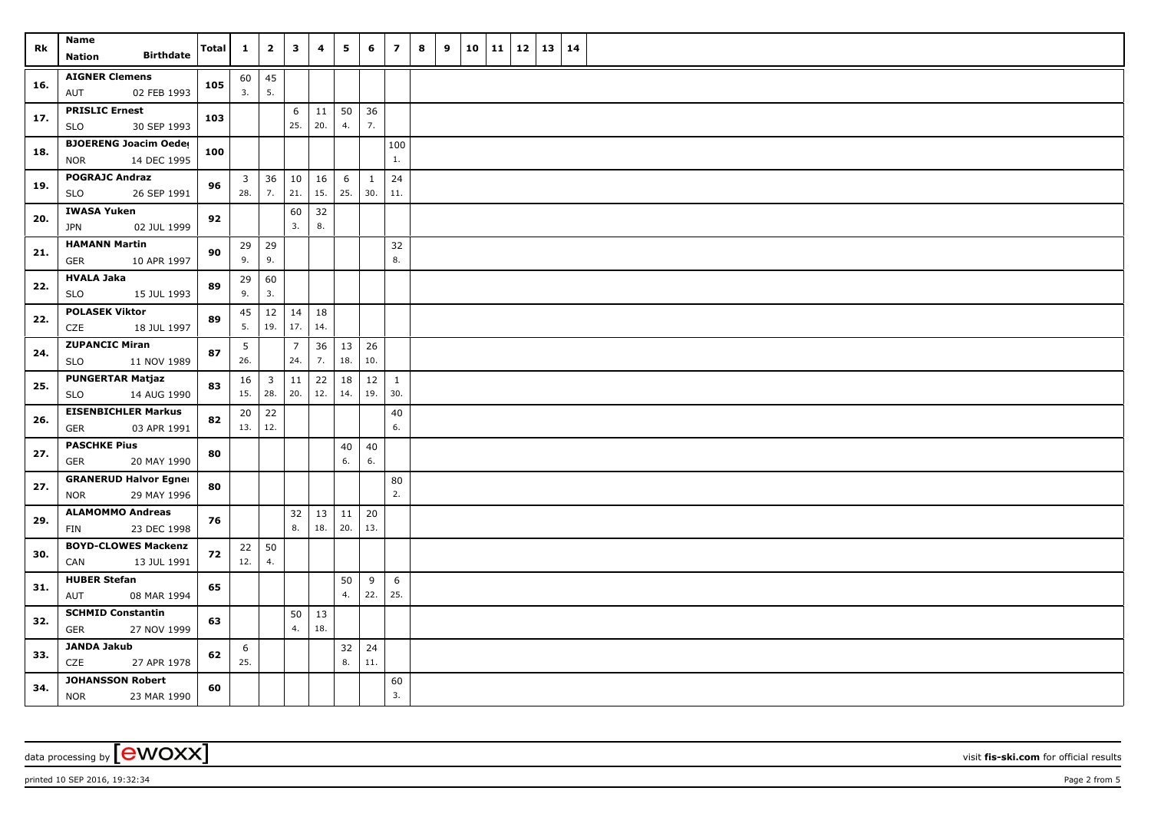| Rk  | Name<br><b>Birthdate</b>                                  | <b>Total</b> | $\mathbf{1}$            | $\overline{\mathbf{2}}$ | 3              | 4         | 5                  | 6         | $\overline{z}$      | 8 | 9 | 10 | 11 | 12 | 13 | 14 |  |
|-----|-----------------------------------------------------------|--------------|-------------------------|-------------------------|----------------|-----------|--------------------|-----------|---------------------|---|---|----|----|----|----|----|--|
|     | <b>Nation</b>                                             |              |                         |                         |                |           |                    |           |                     |   |   |    |    |    |    |    |  |
| 16. | <b>AIGNER Clemens</b><br>02 FEB 1993<br>AUT               | 105          | 60<br>3.                | 45<br>5.                |                |           |                    |           |                     |   |   |    |    |    |    |    |  |
| 17. | <b>PRISLIC Ernest</b><br>30 SEP 1993<br><b>SLO</b>        | 103          |                         |                         | 6<br>25.       | 20.       | $11 \mid 50$<br>4. | 36<br>7.  |                     |   |   |    |    |    |    |    |  |
| 18. | <b>BJOERENG Joacim Oeder</b><br><b>NOR</b><br>14 DEC 1995 | 100          |                         |                         |                |           |                    |           | 100<br>1.           |   |   |    |    |    |    |    |  |
|     | <b>POGRAJC Andraz</b>                                     |              | $\overline{\mathbf{3}}$ | 36                      | 10             | 16        | 6                  | 1         | 24                  |   |   |    |    |    |    |    |  |
| 19. | <b>SLO</b><br>26 SEP 1991                                 | 96           | 28.                     | 7.                      | 21.            | 15.       | 25.                | 30.       | 11.                 |   |   |    |    |    |    |    |  |
| 20. | <b>IWASA Yuken</b><br>02 JUL 1999<br>JPN                  | 92           |                         |                         | 60<br>3.       | 32<br>8.  |                    |           |                     |   |   |    |    |    |    |    |  |
| 21. | <b>HAMANN Martin</b><br>10 APR 1997<br>GER                | 90           | 29<br>9.                | 29<br>9.                |                |           |                    |           | 32<br>8.            |   |   |    |    |    |    |    |  |
| 22. | <b>HVALA Jaka</b><br><b>SLO</b><br>15 JUL 1993            | 89           | 29<br>9.                | 60<br>3.                |                |           |                    |           |                     |   |   |    |    |    |    |    |  |
|     | <b>POLASEK Viktor</b>                                     |              |                         |                         | 14             |           |                    |           |                     |   |   |    |    |    |    |    |  |
| 22. | CZE<br>18 JUL 1997                                        | 89           | 45<br>5.                | 12<br>19.               | 17.            | 18<br>14. |                    |           |                     |   |   |    |    |    |    |    |  |
| 24. | <b>ZUPANCIC Miran</b>                                     | 87           | 5                       |                         | $\overline{7}$ | 36        | 13                 | 26        |                     |   |   |    |    |    |    |    |  |
|     | 11 NOV 1989<br><b>SLO</b>                                 |              | 26.                     |                         | 24.            | 7.        | 18.                | 10.       |                     |   |   |    |    |    |    |    |  |
| 25. | <b>PUNGERTAR Matjaz</b><br>14 AUG 1990<br><b>SLO</b>      | 83           | 16<br>15.               | $\overline{3}$<br>28.   | 11<br>20.      | 22<br>12. | 18<br>14.          | 12<br>19. | $\mathbf{1}$<br>30. |   |   |    |    |    |    |    |  |
|     | <b>EISENBICHLER Markus</b>                                |              | 20                      | 22                      |                |           |                    |           | 40                  |   |   |    |    |    |    |    |  |
| 26. | <b>GER</b><br>03 APR 1991                                 | 82           | 13.                     | 12.                     |                |           |                    |           | 6.                  |   |   |    |    |    |    |    |  |
| 27. | <b>PASCHKE Pius</b>                                       | 80           |                         |                         |                |           | 40                 | 40        |                     |   |   |    |    |    |    |    |  |
|     | 20 MAY 1990<br><b>GER</b>                                 |              |                         |                         |                |           | 6.                 | 6.        |                     |   |   |    |    |    |    |    |  |
| 27. | <b>GRANERUD Halvor Egner</b><br>29 MAY 1996<br><b>NOR</b> | 80           |                         |                         |                |           |                    |           | 80<br>2.            |   |   |    |    |    |    |    |  |
|     | <b>ALAMOMMO Andreas</b>                                   |              |                         |                         | 32             | 13        | 11                 | 20        |                     |   |   |    |    |    |    |    |  |
| 29. | 23 DEC 1998<br>FIN                                        | 76           |                         |                         | 8.             | 18.       | 20.                | 13.       |                     |   |   |    |    |    |    |    |  |
| 30. | <b>BOYD-CLOWES Mackenzi</b>                               | 72           | $22 \mid 50$            |                         |                |           |                    |           |                     |   |   |    |    |    |    |    |  |
|     | CAN<br>13 JUL 1991                                        |              | 12.                     | 4.                      |                |           |                    |           |                     |   |   |    |    |    |    |    |  |
| 31. | <b>HUBER Stefan</b>                                       | 65           |                         |                         |                |           | 50                 | 9         | 6                   |   |   |    |    |    |    |    |  |
|     | AUT<br>08 MAR 1994                                        |              |                         |                         |                |           | 4.                 | 22.       | 25.                 |   |   |    |    |    |    |    |  |
| 32. | <b>SCHMID Constantin</b>                                  | 63           |                         |                         | 50             | 13        |                    |           |                     |   |   |    |    |    |    |    |  |
|     | GER<br>27 NOV 1999                                        |              |                         |                         | 4.             | 18.       |                    |           |                     |   |   |    |    |    |    |    |  |
| 33. | <b>JANDA Jakub</b><br>CZE<br>27 APR 1978                  | 62           | 6<br>25.                |                         |                |           | 32<br>8.           | 24<br>11. |                     |   |   |    |    |    |    |    |  |
| 34. | <b>JOHANSSON Robert</b><br>23 MAR 1990<br><b>NOR</b>      | 60           |                         |                         |                |           |                    |           | 60<br>3.            |   |   |    |    |    |    |    |  |

data processing by **CWOXX** visit fis-ski.com for official results

printed 10 SEP 2016, 19:32:34 Page 2 from 5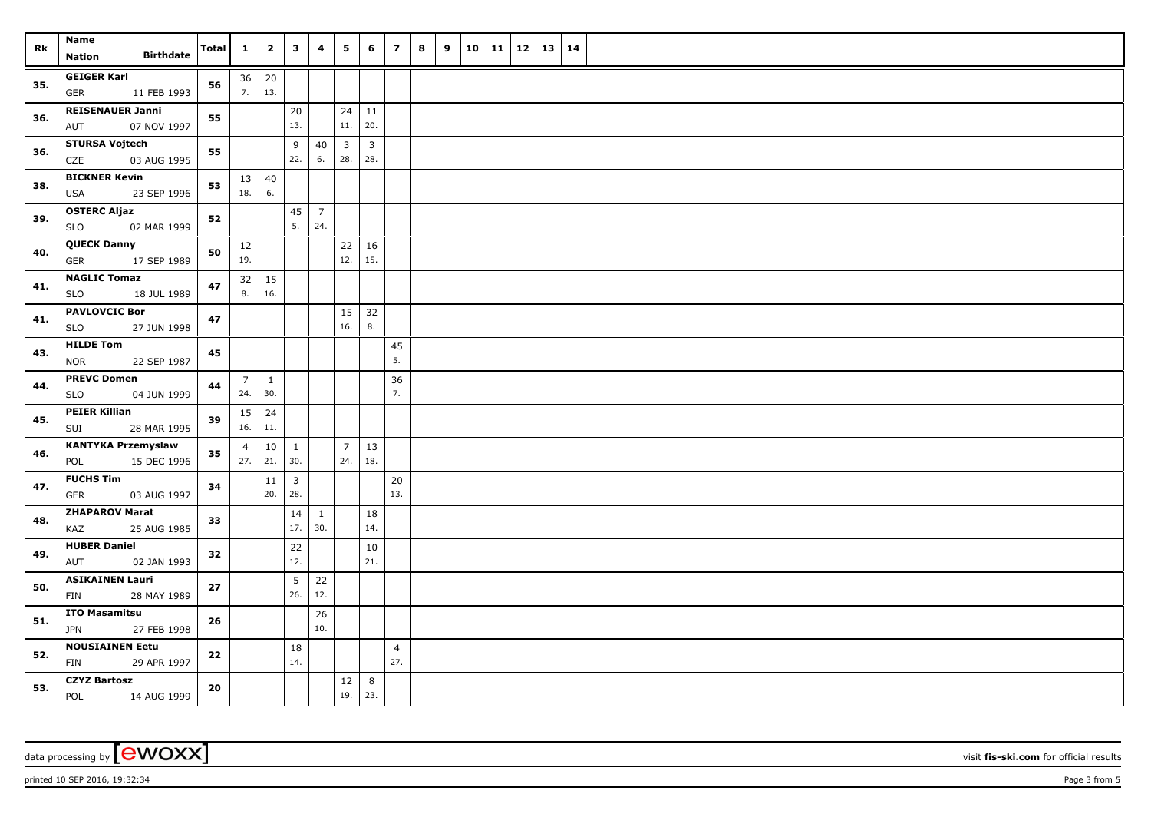| Rk  | Name<br><b>Birthdate</b><br><b>Nation</b>           | <b>Total</b> | $\mathbf{1}$                 | $\overline{2}$           | $\mathbf{3}$                   | 4                     | 5                              | 6                     | $\overline{z}$        | 8 | 9 | 10 | 11 12 | 13 | 14 |  |
|-----|-----------------------------------------------------|--------------|------------------------------|--------------------------|--------------------------------|-----------------------|--------------------------------|-----------------------|-----------------------|---|---|----|-------|----|----|--|
| 35. | <b>GEIGER Karl</b><br>GER<br>11 FEB 1993            | 56           |                              | $36 \mid 20$<br>7.   13. |                                |                       |                                |                       |                       |   |   |    |       |    |    |  |
| 36. | <b>REISENAUER Janni</b><br>07 NOV 1997<br>AUT       | 55           |                              |                          | 20<br>13.                      |                       | 24<br>11.                      | 11<br>20.             |                       |   |   |    |       |    |    |  |
| 36. | <b>STURSA Vojtech</b><br>CZE<br>03 AUG 1995         | 55           |                              |                          | 9<br>22.                       | 40<br>6.              | $\overline{\mathbf{3}}$<br>28. | $\overline{3}$<br>28. |                       |   |   |    |       |    |    |  |
| 38. | <b>BICKNER Kevin</b><br>23 SEP 1996<br>USA          | 53           | $13 \mid 40$<br>18.          | 6.                       |                                |                       |                                |                       |                       |   |   |    |       |    |    |  |
| 39. | <b>OSTERC Aljaz</b><br>02 MAR 1999<br><b>SLO</b>    | 52           |                              |                          | 45<br>5.                       | $\overline{7}$<br>24. |                                |                       |                       |   |   |    |       |    |    |  |
| 40. | <b>QUECK Danny</b><br>17 SEP 1989<br><b>GER</b>     | 50           | 12<br>19.                    |                          |                                |                       | 22<br>12.                      | 16<br>15.             |                       |   |   |    |       |    |    |  |
| 41. | <b>NAGLIC Tomaz</b><br>SLO<br>18 JUL 1989           | 47           | 8.                           | $32 \mid 15$<br>16.      |                                |                       |                                |                       |                       |   |   |    |       |    |    |  |
| 41. | <b>PAVLOVCIC Bor</b><br>SLO<br>27 JUN 1998          | 47           |                              |                          |                                |                       | 15<br>16.                      | 32<br>8.              |                       |   |   |    |       |    |    |  |
| 43. | <b>HILDE Tom</b><br>22 SEP 1987<br><b>NOR</b>       | 45           |                              |                          |                                |                       |                                |                       | 45<br>5.              |   |   |    |       |    |    |  |
| 44. | <b>PREVC Domen</b><br><b>SLO</b><br>04 JUN 1999     | 44           | $7\overline{ }$<br>24.   30. | $\mathbf{1}$             |                                |                       |                                |                       | 36<br>7.              |   |   |    |       |    |    |  |
| 45. | <b>PEIER Killian</b><br>28 MAR 1995<br>SUI          | 39           | $15 \mid$<br>$16. \ 11.$     | 24                       |                                |                       |                                |                       |                       |   |   |    |       |    |    |  |
| 46. | <b>KANTYKA Przemyslaw</b><br>15 DEC 1996<br>POL     | 35           | $\overline{4}$               | 10<br>$27.$ 21.          | $\mathbf{1}$<br>30.            |                       | $\overline{7}$<br>24.          | 13<br>18.             |                       |   |   |    |       |    |    |  |
| 47. | <b>FUCHS Tim</b><br>03 AUG 1997<br>GER              | 34           |                              | 11<br>20.                | $\overline{\mathbf{3}}$<br>28. |                       |                                |                       | 20<br>13.             |   |   |    |       |    |    |  |
| 48. | <b>ZHAPAROV Marat</b><br>25 AUG 1985<br>KAZ         | 33           |                              |                          | 14<br>17.                      | $\mathbf{1}$<br>30.   |                                | 18<br>14.             |                       |   |   |    |       |    |    |  |
| 49. | <b>HUBER Daniel</b><br>02 JAN 1993<br>AUT           | 32           |                              |                          | 22<br>12.                      |                       |                                | 10<br>21.             |                       |   |   |    |       |    |    |  |
| 50. | <b>ASIKAINEN Lauri</b><br><b>FIN</b><br>28 MAY 1989 | 27           |                              |                          | 5 <sub>5</sub><br>26.          | 22<br>12.             |                                |                       |                       |   |   |    |       |    |    |  |
| 51. | <b>ITO Masamitsu</b><br><b>JPN</b><br>27 FEB 1998   | 26           |                              |                          |                                | 26<br>10.             |                                |                       |                       |   |   |    |       |    |    |  |
| 52. | <b>NOUSIAINEN Eetu</b><br>FIN<br>29 APR 1997        | 22           |                              |                          | 18<br>14.                      |                       |                                |                       | $\overline{4}$<br>27. |   |   |    |       |    |    |  |
| 53. | <b>CZYZ Bartosz</b><br>POL<br>14 AUG 1999           | 20           |                              |                          |                                |                       | 12<br>19.                      | 8<br>23.              |                       |   |   |    |       |    |    |  |

data processing by **CWOXX** visit fis-ski.com for official results

printed 10 SEP 2016, 19:32:34 **Page 3** from 5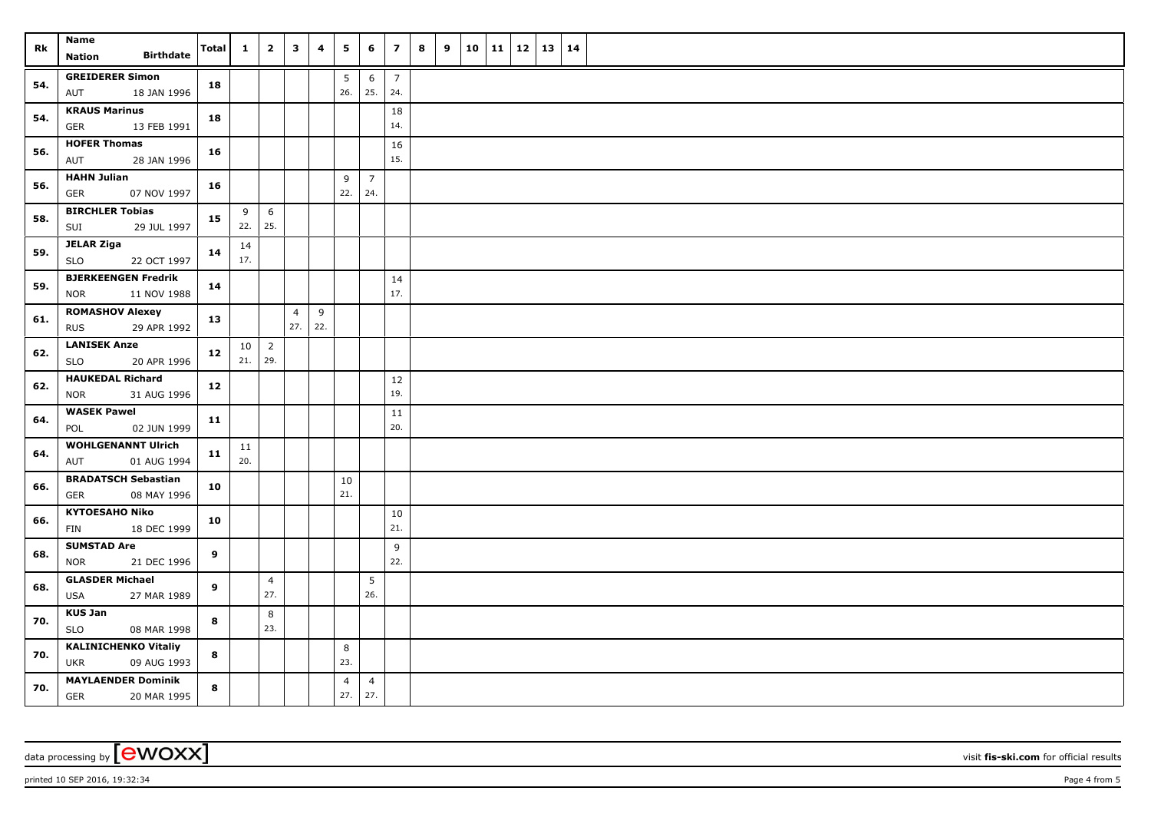| Rk  | Name<br><b>Birthdate</b><br><b>Nation</b>                | <b>Total</b> | $\mathbf{1}$ | $\overline{2}$        | $\overline{\mathbf{3}}$ | 4   | 5                     | 6                     | $\overline{z}$        | 8 | 9 |  | $10 \mid 11 \mid 12$ | $13 \mid 14$ |  |
|-----|----------------------------------------------------------|--------------|--------------|-----------------------|-------------------------|-----|-----------------------|-----------------------|-----------------------|---|---|--|----------------------|--------------|--|
| 54. | <b>GREIDERER Simon</b><br>AUT<br>18 JAN 1996             | 18           |              |                       |                         |     | 5<br>26.              | 6<br>25.              | $\overline{7}$<br>24. |   |   |  |                      |              |  |
| 54. | <b>KRAUS Marinus</b><br>13 FEB 1991<br>GER               | 18           |              |                       |                         |     |                       |                       | 18<br>14.             |   |   |  |                      |              |  |
| 56. | <b>HOFER Thomas</b><br>AUT<br>28 JAN 1996                | 16           |              |                       |                         |     |                       |                       | 16<br>15.             |   |   |  |                      |              |  |
| 56. | <b>HAHN Julian</b><br>07 NOV 1997<br>GER                 | 16           |              |                       |                         |     | 9<br>22.              | $\overline{7}$<br>24. |                       |   |   |  |                      |              |  |
| 58. | <b>BIRCHLER Tobias</b><br>29 JUL 1997<br>SUI             | 15           | 9<br>22.     | 6<br>25.              |                         |     |                       |                       |                       |   |   |  |                      |              |  |
| 59. | <b>JELAR Ziga</b><br><b>SLO</b><br>22 OCT 1997           | 14           | 14<br>17.    |                       |                         |     |                       |                       |                       |   |   |  |                      |              |  |
| 59. | <b>BJERKEENGEN Fredrik</b><br>11 NOV 1988<br>NOR         | 14           |              |                       |                         |     |                       |                       | 14<br>17.             |   |   |  |                      |              |  |
|     | <b>ROMASHOV Alexey</b>                                   |              |              |                       | $\overline{4}$          | 9   |                       |                       |                       |   |   |  |                      |              |  |
| 61. | <b>RUS</b><br>29 APR 1992                                | 13           |              |                       | 27.                     | 22. |                       |                       |                       |   |   |  |                      |              |  |
| 62. | <b>LANISEK Anze</b>                                      | 12           | 10           | $\overline{2}$        |                         |     |                       |                       |                       |   |   |  |                      |              |  |
|     | <b>SLO</b><br>20 APR 1996                                |              | 21.          | 29.                   |                         |     |                       |                       |                       |   |   |  |                      |              |  |
| 62. | <b>HAUKEDAL Richard</b><br>31 AUG 1996<br><b>NOR</b>     | 12           |              |                       |                         |     |                       |                       | 12<br>19.             |   |   |  |                      |              |  |
| 64. | <b>WASEK Pawel</b><br>02 JUN 1999<br>POL                 | 11           |              |                       |                         |     |                       |                       | 11<br>20.             |   |   |  |                      |              |  |
| 64. | <b>WOHLGENANNT Ulrich</b><br>01 AUG 1994<br>AUT          | 11           | 11<br>20.    |                       |                         |     |                       |                       |                       |   |   |  |                      |              |  |
| 66. | <b>BRADATSCH Sebastian</b><br>08 MAY 1996<br>GER         | 10           |              |                       |                         |     | 10<br>21.             |                       |                       |   |   |  |                      |              |  |
| 66. | <b>KYTOESAHO Niko</b><br>FIN<br>18 DEC 1999              | 10           |              |                       |                         |     |                       |                       | 10<br>21.             |   |   |  |                      |              |  |
| 68. | <b>SUMSTAD Are</b><br><b>NOR</b><br>21 DEC 1996          | 9            |              |                       |                         |     |                       |                       | 9<br>22.              |   |   |  |                      |              |  |
| 68. | <b>GLASDER Michael</b><br>27 MAR 1989<br><b>USA</b>      | 9            |              | $\overline{4}$<br>27. |                         |     |                       | 5<br>26.              |                       |   |   |  |                      |              |  |
| 70. | <b>KUS Jan</b><br>SLO<br>08 MAR 1998                     | 8            |              | 8<br>23.              |                         |     |                       |                       |                       |   |   |  |                      |              |  |
| 70. | <b>KALINICHENKO Vitaliy</b><br><b>UKR</b><br>09 AUG 1993 | 8            |              |                       |                         |     | 8<br>23.              |                       |                       |   |   |  |                      |              |  |
| 70. | <b>MAYLAENDER Dominik</b><br>GER<br>20 MAR 1995          | 8            |              |                       |                         |     | $\overline{4}$<br>27. | $\overline{4}$<br>27. |                       |   |   |  |                      |              |  |

data processing by **CWOXX** visit fis-ski.com for official results

printed 10 SEP 2016, 19:32:34 Page 4 from 5